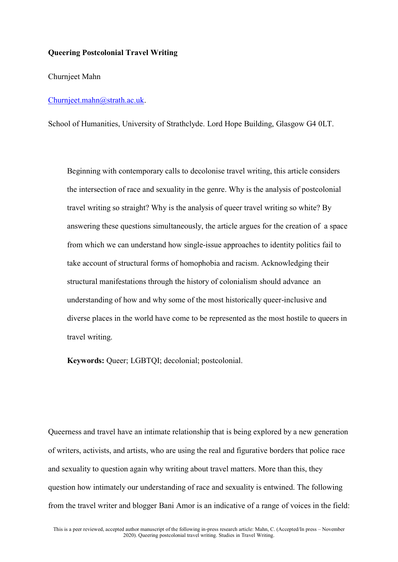## **Queering Postcolonial Travel Writing**

Churnjeet Mahn

## [Churnjeet.mahn@strath.ac.uk.](mailto:Churnjeet.mahn@strath.ac.uk)

School of Humanities, University of Strathclyde. Lord Hope Building, Glasgow G4 0LT.

Beginning with contemporary calls to decolonise travel writing, this article considers the intersection of race and sexuality in the genre. Why is the analysis of postcolonial travel writing so straight? Why is the analysis of queer travel writing so white? By answering these questions simultaneously, the article argues for the creation of a space from which we can understand how single-issue approaches to identity politics fail to take account of structural forms of homophobia and racism. Acknowledging their structural manifestations through the history of colonialism should advance an understanding of how and why some of the most historically queer-inclusive and diverse places in the world have come to be represented as the most hostile to queers in travel writing.

**Keywords:** Queer; LGBTQI; decolonial; postcolonial.

Queerness and travel have an intimate relationship that is being explored by a new generation of writers, activists, and artists, who are using the real and figurative borders that police race and sexuality to question again why writing about travel matters. More than this, they question how intimately our understanding of race and sexuality is entwined. The following from the travel writer and blogger Bani Amor is an indicative of a range of voices in the field: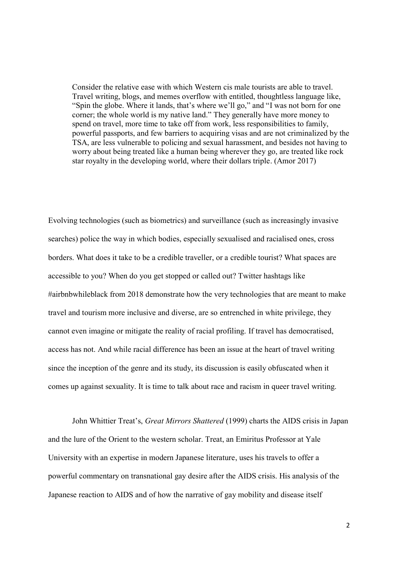Consider the relative ease with which Western cis male tourists are able to travel. Travel writing, blogs, and memes overflow with entitled, thoughtless language like, "Spin the globe. Where it lands, that's where we'll go," and "I was not born for one corner; the whole world is my native land." They generally have more money to spend on travel, more time to take off from work, less responsibilities to family, powerful passports, and few barriers to acquiring visas and are not criminalized by the TSA, are less vulnerable to policing and sexual harassment, and besides not having to worry about being treated like a human being wherever they go, are treated like rock star royalty in the developing world, where their dollars triple. (Amor 2017)

Evolving technologies (such as biometrics) and surveillance (such as increasingly invasive searches) police the way in which bodies, especially sexualised and racialised ones, cross borders. What does it take to be a credible traveller, or a credible tourist? What spaces are accessible to you? When do you get stopped or called out? Twitter hashtags like #airbnbwhileblack from 2018 demonstrate how the very technologies that are meant to make travel and tourism more inclusive and diverse, are so entrenched in white privilege, they cannot even imagine or mitigate the reality of racial profiling. If travel has democratised, access has not. And while racial difference has been an issue at the heart of travel writing since the inception of the genre and its study, its discussion is easily obfuscated when it comes up against sexuality. It is time to talk about race and racism in queer travel writing.

John Whittier Treat's, *Great Mirrors Shattered* (1999) charts the AIDS crisis in Japan and the lure of the Orient to the western scholar. Treat, an Emiritus Professor at Yale University with an expertise in modern Japanese literature, uses his travels to offer a powerful commentary on transnational gay desire after the AIDS crisis. His analysis of the Japanese reaction to AIDS and of how the narrative of gay mobility and disease itself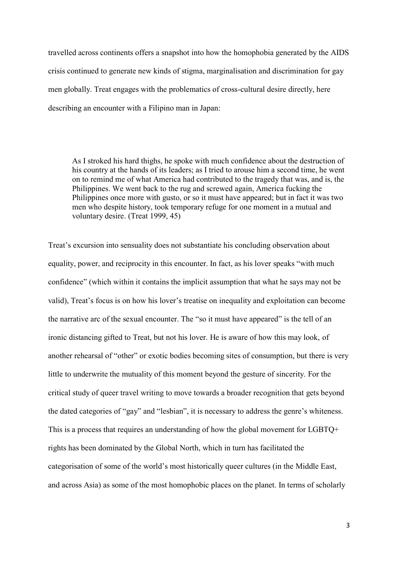travelled across continents offers a snapshot into how the homophobia generated by the AIDS crisis continued to generate new kinds of stigma, marginalisation and discrimination for gay men globally. Treat engages with the problematics of cross-cultural desire directly, here describing an encounter with a Filipino man in Japan:

As I stroked his hard thighs, he spoke with much confidence about the destruction of his country at the hands of its leaders; as I tried to arouse him a second time, he went on to remind me of what America had contributed to the tragedy that was, and is, the Philippines. We went back to the rug and screwed again, America fucking the Philippines once more with gusto, or so it must have appeared; but in fact it was two men who despite history, took temporary refuge for one moment in a mutual and voluntary desire. (Treat 1999, 45)

Treat's excursion into sensuality does not substantiate his concluding observation about equality, power, and reciprocity in this encounter. In fact, as his lover speaks "with much confidence" (which within it contains the implicit assumption that what he says may not be valid), Treat's focus is on how his lover's treatise on inequality and exploitation can become the narrative arc of the sexual encounter. The "so it must have appeared" is the tell of an ironic distancing gifted to Treat, but not his lover. He is aware of how this may look, of another rehearsal of "other" or exotic bodies becoming sites of consumption, but there is very little to underwrite the mutuality of this moment beyond the gesture of sincerity. For the critical study of queer travel writing to move towards a broader recognition that gets beyond the dated categories of "gay" and "lesbian", it is necessary to address the genre's whiteness. This is a process that requires an understanding of how the global movement for LGBTQ+ rights has been dominated by the Global North, which in turn has facilitated the categorisation of some of the world's most historically queer cultures (in the Middle East, and across Asia) as some of the most homophobic places on the planet. In terms of scholarly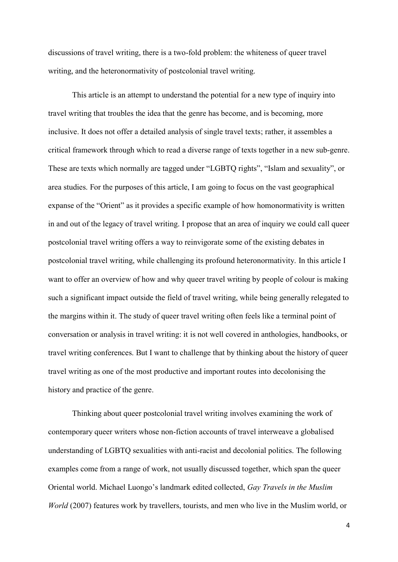discussions of travel writing, there is a two-fold problem: the whiteness of queer travel writing, and the heteronormativity of postcolonial travel writing.

This article is an attempt to understand the potential for a new type of inquiry into travel writing that troubles the idea that the genre has become, and is becoming, more inclusive. It does not offer a detailed analysis of single travel texts; rather, it assembles a critical framework through which to read a diverse range of texts together in a new sub-genre. These are texts which normally are tagged under "LGBTQ rights", "Islam and sexuality", or area studies. For the purposes of this article, I am going to focus on the vast geographical expanse of the "Orient" as it provides a specific example of how homonormativity is written in and out of the legacy of travel writing. I propose that an area of inquiry we could call queer postcolonial travel writing offers a way to reinvigorate some of the existing debates in postcolonial travel writing, while challenging its profound heteronormativity. In this article I want to offer an overview of how and why queer travel writing by people of colour is making such a significant impact outside the field of travel writing, while being generally relegated to the margins within it. The study of queer travel writing often feels like a terminal point of conversation or analysis in travel writing: it is not well covered in anthologies, handbooks, or travel writing conferences. But I want to challenge that by thinking about the history of queer travel writing as one of the most productive and important routes into decolonising the history and practice of the genre.

Thinking about queer postcolonial travel writing involves examining the work of contemporary queer writers whose non-fiction accounts of travel interweave a globalised understanding of LGBTQ sexualities with anti-racist and decolonial politics. The following examples come from a range of work, not usually discussed together, which span the queer Oriental world. Michael Luongo's landmark edited collected, *Gay Travels in the Muslim World* (2007) features work by travellers, tourists, and men who live in the Muslim world, or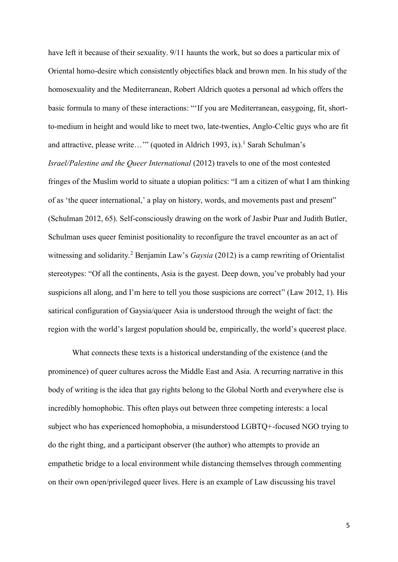have left it because of their sexuality. 9/11 haunts the work, but so does a particular mix of Oriental homo-desire which consistently objectifies black and brown men. In his study of the homosexuality and the Mediterranean, Robert Aldrich quotes a personal ad which offers the basic formula to many of these interactions: "'If you are Mediterranean, easygoing, fit, shortto-medium in height and would like to meet two, late-twenties, Anglo-Celtic guys who are fit and attractive, please write…'" (quoted in Aldrich 1993, ix).<sup>1</sup> Sarah Schulman's *Israel/Palestine and the Queer International* (2012) travels to one of the most contested fringes of the Muslim world to situate a utopian politics: "I am a citizen of what I am thinking of as 'the queer international,' a play on history, words, and movements past and present" (Schulman 2012, 65). Self-consciously drawing on the work of Jasbir Puar and Judith Butler, Schulman uses queer feminist positionality to reconfigure the travel encounter as an act of witnessing and solidarity.<sup>2</sup> Benjamin Law's *Gaysia* (2012) is a camp rewriting of Orientalist stereotypes: "Of all the continents, Asia is the gayest. Deep down, you've probably had your suspicions all along, and I'm here to tell you those suspicions are correct" (Law 2012, 1). His satirical configuration of Gaysia/queer Asia is understood through the weight of fact: the region with the world's largest population should be, empirically, the world's queerest place.

What connects these texts is a historical understanding of the existence (and the prominence) of queer cultures across the Middle East and Asia. A recurring narrative in this body of writing is the idea that gay rights belong to the Global North and everywhere else is incredibly homophobic. This often plays out between three competing interests: a local subject who has experienced homophobia, a misunderstood LGBTQ+-focused NGO trying to do the right thing, and a participant observer (the author) who attempts to provide an empathetic bridge to a local environment while distancing themselves through commenting on their own open/privileged queer lives. Here is an example of Law discussing his travel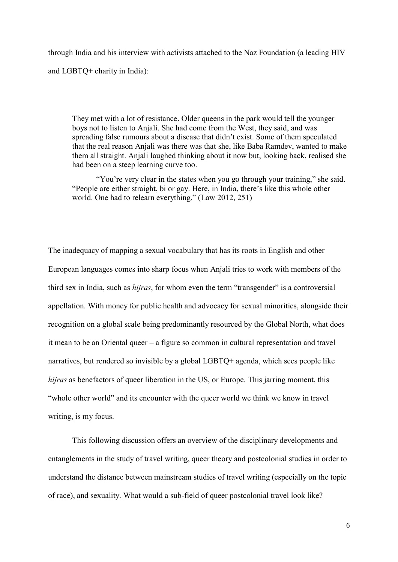through India and his interview with activists attached to the Naz Foundation (a leading HIV and LGBTQ+ charity in India):

They met with a lot of resistance. Older queens in the park would tell the younger boys not to listen to Anjali. She had come from the West, they said, and was spreading false rumours about a disease that didn't exist. Some of them speculated that the real reason Anjali was there was that she, like Baba Ramdev, wanted to make them all straight. Anjali laughed thinking about it now but, looking back, realised she had been on a steep learning curve too.

"You're very clear in the states when you go through your training," she said. "People are either straight, bi or gay. Here, in India, there's like this whole other world. One had to relearn everything." (Law 2012, 251)

The inadequacy of mapping a sexual vocabulary that has its roots in English and other European languages comes into sharp focus when Anjali tries to work with members of the third sex in India, such as *hijras*, for whom even the term "transgender" is a controversial appellation. With money for public health and advocacy for sexual minorities, alongside their recognition on a global scale being predominantly resourced by the Global North, what does it mean to be an Oriental queer – a figure so common in cultural representation and travel narratives, but rendered so invisible by a global LGBTQ+ agenda, which sees people like *hijras* as benefactors of queer liberation in the US, or Europe. This jarring moment, this "whole other world" and its encounter with the queer world we think we know in travel writing, is my focus.

This following discussion offers an overview of the disciplinary developments and entanglements in the study of travel writing, queer theory and postcolonial studies in order to understand the distance between mainstream studies of travel writing (especially on the topic of race), and sexuality. What would a sub-field of queer postcolonial travel look like?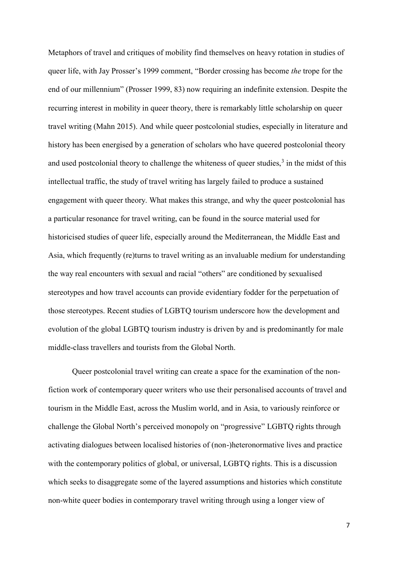Metaphors of travel and critiques of mobility find themselves on heavy rotation in studies of queer life, with Jay Prosser's 1999 comment, "Border crossing has become *the* trope for the end of our millennium" (Prosser 1999, 83) now requiring an indefinite extension. Despite the recurring interest in mobility in queer theory, there is remarkably little scholarship on queer travel writing (Mahn 2015). And while queer postcolonial studies, especially in literature and history has been energised by a generation of scholars who have queered postcolonial theory and used postcolonial theory to challenge the whiteness of queer studies, $3$  in the midst of this intellectual traffic, the study of travel writing has largely failed to produce a sustained engagement with queer theory. What makes this strange, and why the queer postcolonial has a particular resonance for travel writing, can be found in the source material used for historicised studies of queer life, especially around the Mediterranean, the Middle East and Asia, which frequently (re)turns to travel writing as an invaluable medium for understanding the way real encounters with sexual and racial "others" are conditioned by sexualised stereotypes and how travel accounts can provide evidentiary fodder for the perpetuation of those stereotypes. Recent studies of LGBTQ tourism underscore how the development and evolution of the global LGBTQ tourism industry is driven by and is predominantly for male middle-class travellers and tourists from the Global North.

Queer postcolonial travel writing can create a space for the examination of the nonfiction work of contemporary queer writers who use their personalised accounts of travel and tourism in the Middle East, across the Muslim world, and in Asia, to variously reinforce or challenge the Global North's perceived monopoly on "progressive" LGBTQ rights through activating dialogues between localised histories of (non-)heteronormative lives and practice with the contemporary politics of global, or universal, LGBTQ rights. This is a discussion which seeks to disaggregate some of the layered assumptions and histories which constitute non-white queer bodies in contemporary travel writing through using a longer view of

7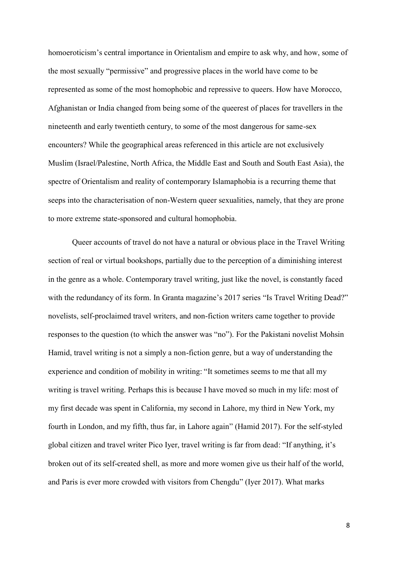homoeroticism's central importance in Orientalism and empire to ask why, and how, some of the most sexually "permissive" and progressive places in the world have come to be represented as some of the most homophobic and repressive to queers. How have Morocco, Afghanistan or India changed from being some of the queerest of places for travellers in the nineteenth and early twentieth century, to some of the most dangerous for same-sex encounters? While the geographical areas referenced in this article are not exclusively Muslim (Israel/Palestine, North Africa, the Middle East and South and South East Asia), the spectre of Orientalism and reality of contemporary Islamaphobia is a recurring theme that seeps into the characterisation of non-Western queer sexualities, namely, that they are prone to more extreme state-sponsored and cultural homophobia.

Queer accounts of travel do not have a natural or obvious place in the Travel Writing section of real or virtual bookshops, partially due to the perception of a diminishing interest in the genre as a whole. Contemporary travel writing, just like the novel, is constantly faced with the redundancy of its form. In Granta magazine's 2017 series "Is Travel Writing Dead?" novelists, self-proclaimed travel writers, and non-fiction writers came together to provide responses to the question (to which the answer was "no"). For the Pakistani novelist Mohsin Hamid, travel writing is not a simply a non-fiction genre, but a way of understanding the experience and condition of mobility in writing: "It sometimes seems to me that all my writing is travel writing. Perhaps this is because I have moved so much in my life: most of my first decade was spent in California, my second in Lahore, my third in New York, my fourth in London, and my fifth, thus far, in Lahore again" (Hamid 2017). For the self-styled global citizen and travel writer Pico Iyer, travel writing is far from dead: "If anything, it's broken out of its self-created shell, as more and more women give us their half of the world, and Paris is ever more crowded with visitors from Chengdu" (Iyer 2017). What marks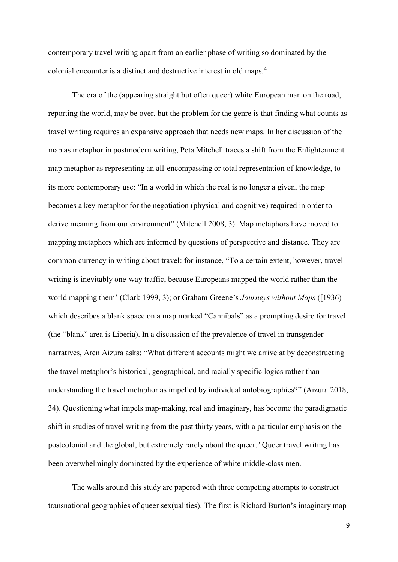contemporary travel writing apart from an earlier phase of writing so dominated by the colonial encounter is a distinct and destructive interest in old maps.<sup>4</sup>

The era of the (appearing straight but often queer) white European man on the road, reporting the world, may be over, but the problem for the genre is that finding what counts as travel writing requires an expansive approach that needs new maps. In her discussion of the map as metaphor in postmodern writing, Peta Mitchell traces a shift from the Enlightenment map metaphor as representing an all-encompassing or total representation of knowledge, to its more contemporary use: "In a world in which the real is no longer a given, the map becomes a key metaphor for the negotiation (physical and cognitive) required in order to derive meaning from our environment" (Mitchell 2008, 3). Map metaphors have moved to mapping metaphors which are informed by questions of perspective and distance. They are common currency in writing about travel: for instance, "To a certain extent, however, travel writing is inevitably one-way traffic, because Europeans mapped the world rather than the world mapping them' (Clark 1999, 3); or Graham Greene's *Journeys without Maps* ([1936) which describes a blank space on a map marked "Cannibals" as a prompting desire for travel (the "blank" area is Liberia). In a discussion of the prevalence of travel in transgender narratives, Aren Aizura asks: "What different accounts might we arrive at by deconstructing the travel metaphor's historical, geographical, and racially specific logics rather than understanding the travel metaphor as impelled by individual autobiographies?" (Aizura 2018, 34). Questioning what impels map-making, real and imaginary, has become the paradigmatic shift in studies of travel writing from the past thirty years, with a particular emphasis on the postcolonial and the global, but extremely rarely about the queer.<sup>5</sup> Queer travel writing has been overwhelmingly dominated by the experience of white middle-class men.

The walls around this study are papered with three competing attempts to construct transnational geographies of queer sex(ualities). The first is Richard Burton's imaginary map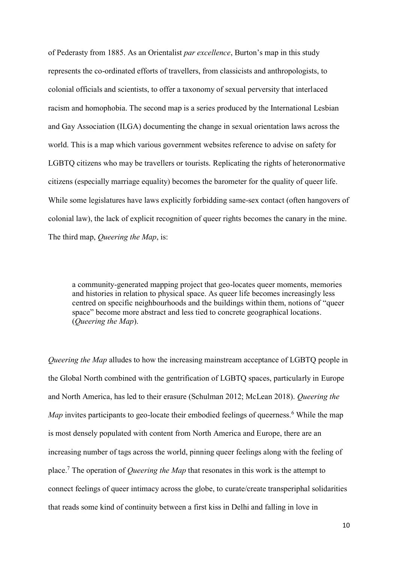of Pederasty from 1885. As an Orientalist *par excellence*, Burton's map in this study represents the co-ordinated efforts of travellers, from classicists and anthropologists, to colonial officials and scientists, to offer a taxonomy of sexual perversity that interlaced racism and homophobia. The second map is a series produced by the International Lesbian and Gay Association (ILGA) documenting the change in sexual orientation laws across the world. This is a map which various government websites reference to advise on safety for LGBTQ citizens who may be travellers or tourists. Replicating the rights of heteronormative citizens (especially marriage equality) becomes the barometer for the quality of queer life. While some legislatures have laws explicitly forbidding same-sex contact (often hangovers of colonial law), the lack of explicit recognition of queer rights becomes the canary in the mine. The third map, *Queering the Map*, is:

a community-generated mapping project that geo-locates queer moments, memories and histories in relation to physical space. As queer life becomes increasingly less centred on specific neighbourhoods and the buildings within them, notions of "queer space" become more abstract and less tied to concrete geographical locations. (*Queering the Map*).

*Queering the Map* alludes to how the increasing mainstream acceptance of LGBTQ people in the Global North combined with the gentrification of LGBTQ spaces, particularly in Europe and North America, has led to their erasure (Schulman 2012; McLean 2018). *Queering the Map* invites participants to geo-locate their embodied feelings of queerness.<sup>6</sup> While the map is most densely populated with content from North America and Europe, there are an increasing number of tags across the world, pinning queer feelings along with the feeling of place.<sup>7</sup> The operation of *Queering the Map* that resonates in this work is the attempt to connect feelings of queer intimacy across the globe, to curate/create transperiphal solidarities that reads some kind of continuity between a first kiss in Delhi and falling in love in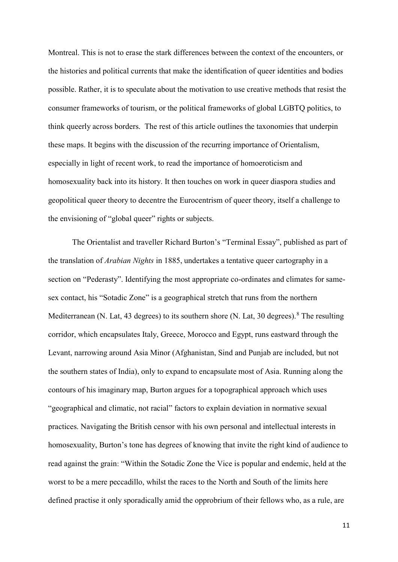Montreal. This is not to erase the stark differences between the context of the encounters, or the histories and political currents that make the identification of queer identities and bodies possible. Rather, it is to speculate about the motivation to use creative methods that resist the consumer frameworks of tourism, or the political frameworks of global LGBTQ politics, to think queerly across borders. The rest of this article outlines the taxonomies that underpin these maps. It begins with the discussion of the recurring importance of Orientalism, especially in light of recent work, to read the importance of homoeroticism and homosexuality back into its history. It then touches on work in queer diaspora studies and geopolitical queer theory to decentre the Eurocentrism of queer theory, itself a challenge to the envisioning of "global queer" rights or subjects.

The Orientalist and traveller Richard Burton's "Terminal Essay", published as part of the translation of *Arabian Nights* in 1885, undertakes a tentative queer cartography in a section on "Pederasty". Identifying the most appropriate co-ordinates and climates for samesex contact, his "Sotadic Zone" is a geographical stretch that runs from the northern Mediterranean (N. Lat, 43 degrees) to its southern shore (N. Lat, 30 degrees).<sup>8</sup> The resulting corridor, which encapsulates Italy, Greece, Morocco and Egypt, runs eastward through the Levant, narrowing around Asia Minor (Afghanistan, Sind and Punjab are included, but not the southern states of India), only to expand to encapsulate most of Asia. Running along the contours of his imaginary map, Burton argues for a topographical approach which uses "geographical and climatic, not racial" factors to explain deviation in normative sexual practices. Navigating the British censor with his own personal and intellectual interests in homosexuality, Burton's tone has degrees of knowing that invite the right kind of audience to read against the grain: "Within the Sotadic Zone the Vice is popular and endemic, held at the worst to be a mere peccadillo, whilst the races to the North and South of the limits here defined practise it only sporadically amid the opprobrium of their fellows who, as a rule, are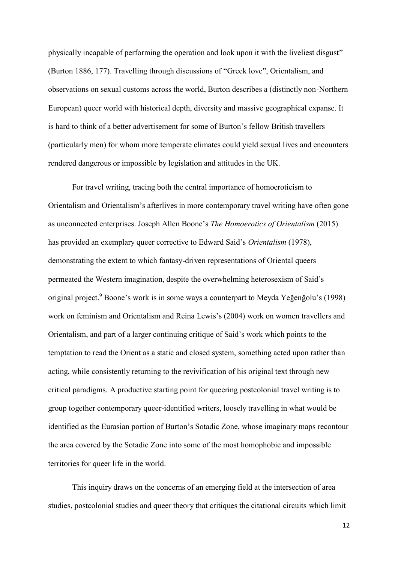physically incapable of performing the operation and look upon it with the liveliest disgust" (Burton 1886, 177). Travelling through discussions of "Greek love", Orientalism, and observations on sexual customs across the world, Burton describes a (distinctly non-Northern European) queer world with historical depth, diversity and massive geographical expanse. It is hard to think of a better advertisement for some of Burton's fellow British travellers (particularly men) for whom more temperate climates could yield sexual lives and encounters rendered dangerous or impossible by legislation and attitudes in the UK.

For travel writing, tracing both the central importance of homoeroticism to Orientalism and Orientalism's afterlives in more contemporary travel writing have often gone as unconnected enterprises. Joseph Allen Boone's *The Homoerotics of Orientalism* (2015) has provided an exemplary queer corrective to Edward Said's *Orientalism* (1978), demonstrating the extent to which fantasy-driven representations of Oriental queers permeated the Western imagination, despite the overwhelming heterosexism of Said's original project.<sup>9</sup> Boone's work is in some ways a counterpart to Meyda Yeğenğolu's (1998) work on feminism and Orientalism and Reina Lewis's (2004) work on women travellers and Orientalism, and part of a larger continuing critique of Said's work which points to the temptation to read the Orient as a static and closed system, something acted upon rather than acting, while consistently returning to the revivification of his original text through new critical paradigms. A productive starting point for queering postcolonial travel writing is to group together contemporary queer-identified writers, loosely travelling in what would be identified as the Eurasian portion of Burton's Sotadic Zone, whose imaginary maps recontour the area covered by the Sotadic Zone into some of the most homophobic and impossible territories for queer life in the world.

This inquiry draws on the concerns of an emerging field at the intersection of area studies, postcolonial studies and queer theory that critiques the citational circuits which limit

12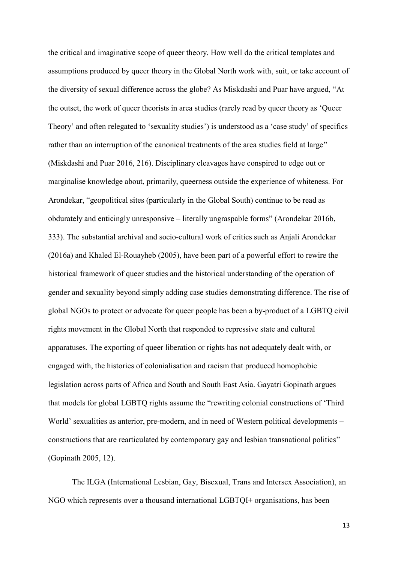the critical and imaginative scope of queer theory. How well do the critical templates and assumptions produced by queer theory in the Global North work with, suit, or take account of the diversity of sexual difference across the globe? As Miskdashi and Puar have argued, "At the outset, the work of queer theorists in area studies (rarely read by queer theory as 'Queer Theory' and often relegated to 'sexuality studies') is understood as a 'case study' of specifics rather than an interruption of the canonical treatments of the area studies field at large" (Miskdashi and Puar 2016, 216). Disciplinary cleavages have conspired to edge out or marginalise knowledge about, primarily, queerness outside the experience of whiteness. For Arondekar, "geopolitical sites (particularly in the Global South) continue to be read as obdurately and enticingly unresponsive – literally ungraspable forms" (Arondekar 2016b, 333). The substantial archival and socio-cultural work of critics such as Anjali Arondekar (2016a) and Khaled El-Rouayheb (2005), have been part of a powerful effort to rewire the historical framework of queer studies and the historical understanding of the operation of gender and sexuality beyond simply adding case studies demonstrating difference. The rise of global NGOs to protect or advocate for queer people has been a by-product of a LGBTQ civil rights movement in the Global North that responded to repressive state and cultural apparatuses. The exporting of queer liberation or rights has not adequately dealt with, or engaged with, the histories of colonialisation and racism that produced homophobic legislation across parts of Africa and South and South East Asia. Gayatri Gopinath argues that models for global LGBTQ rights assume the "rewriting colonial constructions of 'Third World' sexualities as anterior, pre-modern, and in need of Western political developments – constructions that are rearticulated by contemporary gay and lesbian transnational politics" (Gopinath 2005, 12).

The ILGA (International Lesbian, Gay, Bisexual, Trans and Intersex Association), an NGO which represents over a thousand international LGBTQI+ organisations, has been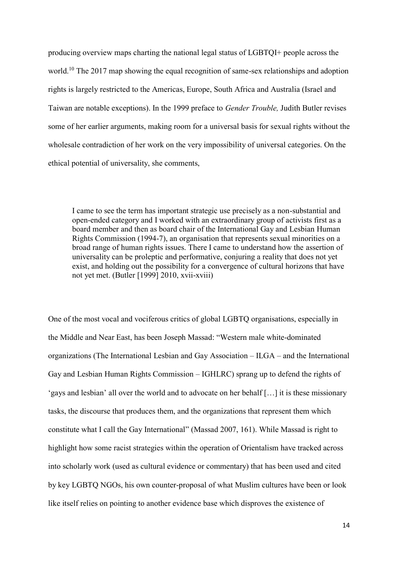producing overview maps charting the national legal status of LGBTQI+ people across the world.<sup>10</sup> The 2017 map showing the equal recognition of same-sex relationships and adoption rights is largely restricted to the Americas, Europe, South Africa and Australia (Israel and Taiwan are notable exceptions). In the 1999 preface to *Gender Trouble,* Judith Butler revises some of her earlier arguments, making room for a universal basis for sexual rights without the wholesale contradiction of her work on the very impossibility of universal categories. On the ethical potential of universality, she comments,

I came to see the term has important strategic use precisely as a non-substantial and open-ended category and I worked with an extraordinary group of activists first as a board member and then as board chair of the International Gay and Lesbian Human Rights Commission (1994-7), an organisation that represents sexual minorities on a broad range of human rights issues. There I came to understand how the assertion of universality can be proleptic and performative, conjuring a reality that does not yet exist, and holding out the possibility for a convergence of cultural horizons that have not yet met. (Butler [1999] 2010, xvii-xviii)

One of the most vocal and vociferous critics of global LGBTQ organisations, especially in the Middle and Near East, has been Joseph Massad: "Western male white-dominated organizations (The International Lesbian and Gay Association – ILGA – and the International Gay and Lesbian Human Rights Commission – IGHLRC) sprang up to defend the rights of 'gays and lesbian' all over the world and to advocate on her behalf […] it is these missionary tasks, the discourse that produces them, and the organizations that represent them which constitute what I call the Gay International" (Massad 2007, 161). While Massad is right to highlight how some racist strategies within the operation of Orientalism have tracked across into scholarly work (used as cultural evidence or commentary) that has been used and cited by key LGBTQ NGOs, his own counter-proposal of what Muslim cultures have been or look like itself relies on pointing to another evidence base which disproves the existence of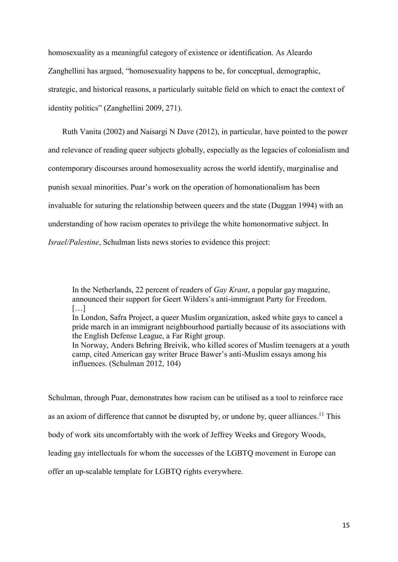homosexuality as a meaningful category of existence or identification. As Aleardo Zanghellini has argued, "homosexuality happens to be, for conceptual, demographic, strategic, and historical reasons, a particularly suitable field on which to enact the context of identity politics" (Zanghellini 2009, 271).

Ruth Vanita (2002) and Naisargi N Dave (2012), in particular, have pointed to the power and relevance of reading queer subjects globally, especially as the legacies of colonialism and contemporary discourses around homosexuality across the world identify, marginalise and punish sexual minorities. Puar's work on the operation of homonationalism has been invaluable for suturing the relationship between queers and the state (Duggan 1994) with an understanding of how racism operates to privilege the white homonormative subject. In *Israel/Palestine*, Schulman lists news stories to evidence this project:

In the Netherlands, 22 percent of readers of *Gay Krant*, a popular gay magazine, announced their support for Geert Wilders's anti-immigrant Party for Freedom.  $[\ldots]$ 

In London, Safra Project, a queer Muslim organization, asked white gays to cancel a pride march in an immigrant neighbourhood partially because of its associations with the English Defense League, a Far Right group.

In Norway, Anders Behring Breivik, who killed scores of Muslim teenagers at a youth camp, cited American gay writer Bruce Bawer's anti-Muslim essays among his influences. (Schulman 2012, 104)

Schulman, through Puar, demonstrates how racism can be utilised as a tool to reinforce race as an axiom of difference that cannot be disrupted by, or undone by, queer alliances.<sup>11</sup> This body of work sits uncomfortably with the work of Jeffrey Weeks and Gregory Woods, leading gay intellectuals for whom the successes of the LGBTQ movement in Europe can offer an up-scalable template for LGBTQ rights everywhere.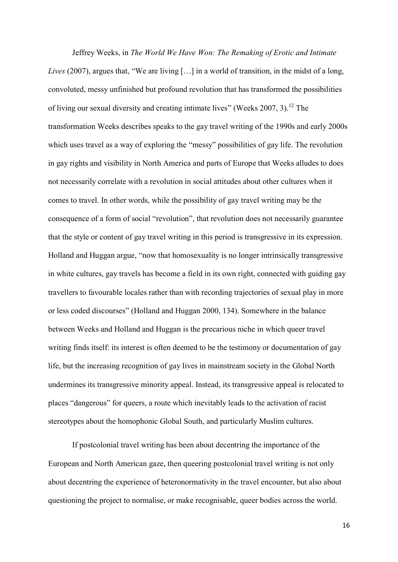Jeffrey Weeks, in *The World We Have Won: The Remaking of Erotic and Intimate Lives* (2007), argues that, "We are living […] in a world of transition, in the midst of a long, convoluted, messy unfinished but profound revolution that has transformed the possibilities of living our sexual diversity and creating intimate lives" (Weeks 2007, 3).<sup>12</sup> The transformation Weeks describes speaks to the gay travel writing of the 1990s and early 2000s which uses travel as a way of exploring the "messy" possibilities of gay life. The revolution in gay rights and visibility in North America and parts of Europe that Weeks alludes to does not necessarily correlate with a revolution in social attitudes about other cultures when it comes to travel. In other words, while the possibility of gay travel writing may be the consequence of a form of social "revolution", that revolution does not necessarily guarantee that the style or content of gay travel writing in this period is transgressive in its expression. Holland and Huggan argue, "now that homosexuality is no longer intrinsically transgressive in white cultures, gay travels has become a field in its own right, connected with guiding gay travellers to favourable locales rather than with recording trajectories of sexual play in more or less coded discourses" (Holland and Huggan 2000, 134). Somewhere in the balance between Weeks and Holland and Huggan is the precarious niche in which queer travel writing finds itself: its interest is often deemed to be the testimony or documentation of gay life, but the increasing recognition of gay lives in mainstream society in the Global North undermines its transgressive minority appeal. Instead, its transgressive appeal is relocated to places "dangerous" for queers, a route which inevitably leads to the activation of racist stereotypes about the homophonic Global South, and particularly Muslim cultures.

If postcolonial travel writing has been about decentring the importance of the European and North American gaze, then queering postcolonial travel writing is not only about decentring the experience of heteronormativity in the travel encounter, but also about questioning the project to normalise, or make recognisable, queer bodies across the world.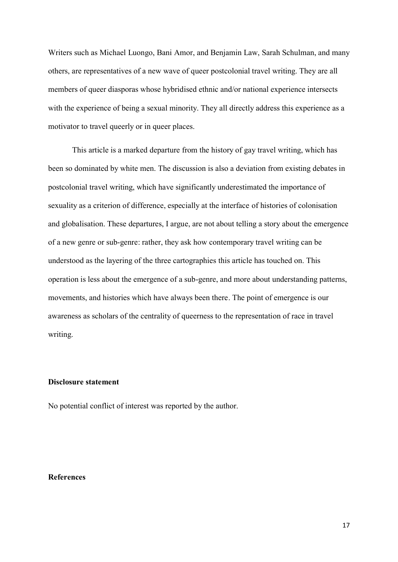Writers such as Michael Luongo, Bani Amor, and Benjamin Law, Sarah Schulman, and many others, are representatives of a new wave of queer postcolonial travel writing. They are all members of queer diasporas whose hybridised ethnic and/or national experience intersects with the experience of being a sexual minority. They all directly address this experience as a motivator to travel queerly or in queer places.

This article is a marked departure from the history of gay travel writing, which has been so dominated by white men. The discussion is also a deviation from existing debates in postcolonial travel writing, which have significantly underestimated the importance of sexuality as a criterion of difference, especially at the interface of histories of colonisation and globalisation. These departures, I argue, are not about telling a story about the emergence of a new genre or sub-genre: rather, they ask how contemporary travel writing can be understood as the layering of the three cartographies this article has touched on. This operation is less about the emergence of a sub-genre, and more about understanding patterns, movements, and histories which have always been there. The point of emergence is our awareness as scholars of the centrality of queerness to the representation of race in travel writing.

## **Disclosure statement**

No potential conflict of interest was reported by the author.

## **References**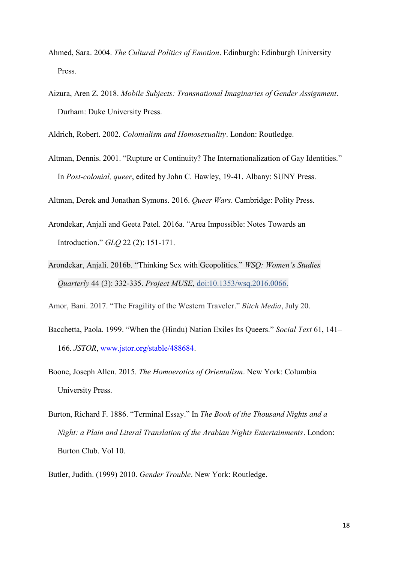- Ahmed, Sara. 2004. *The Cultural Politics of Emotion*. Edinburgh: Edinburgh University Press.
- Aizura, Aren Z. 2018. *Mobile Subjects: Transnational Imaginaries of Gender Assignment*. Durham: Duke University Press.

Aldrich, Robert. 2002. *Colonialism and Homosexuality*. London: Routledge.

Altman, Dennis. 2001. "Rupture or Continuity? The Internationalization of Gay Identities." In *Post-colonial, queer*, edited by John C. Hawley, 19-41. Albany: SUNY Press.

Altman, Derek and Jonathan Symons. 2016. *Queer Wars*. Cambridge: Polity Press.

- Arondekar, Anjali and Geeta Patel. 2016a. "Area Impossible: Notes Towards an Introduction." *GLQ* 22 (2): 151-171.
- Arondekar, Anjali. 2016b. "Thinking Sex with Geopolitics." *WSQ: Women's Studies Quarterly* 44 (3): 332-335. *Project MUSE*, [doi:10.1353/wsq.2016.0066.](http://doi.org/10.1353/wsq.2016.0066)

Amor, Bani. 2017. "The Fragility of the Western Traveler." *Bitch Media*, July 20.

- Bacchetta, Paola. 1999. "When the (Hindu) Nation Exiles Its Queers." *Social Text* 61, 141– 166. *JSTOR*, [www.jstor.org/stable/488684.](http://www.jstor.org/stable/488684)
- Boone, Joseph Allen. 2015. *The Homoerotics of Orientalism*. New York: Columbia University Press.
- Burton, Richard F. 1886. "Terminal Essay." In *The Book of the Thousand Nights and a Night: a Plain and Literal Translation of the Arabian Nights Entertainments*. London: Burton Club. Vol 10.

Butler, Judith. (1999) 2010. *Gender Trouble*. New York: Routledge.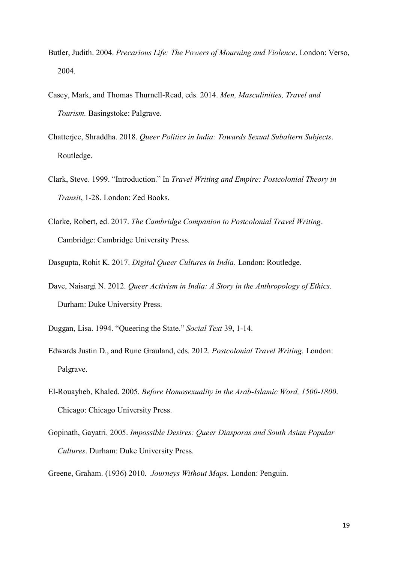- Butler, Judith. 2004. *Precarious Life: The Powers of Mourning and Violence*. London: Verso, 2004.
- Casey, Mark, and Thomas Thurnell-Read, eds. 2014. *Men, Masculinities, Travel and Tourism.* Basingstoke: Palgrave.
- Chatterjee, Shraddha. 2018. *Queer Politics in India: Towards Sexual Subaltern Subjects*. Routledge.
- Clark, Steve. 1999. "Introduction." In *Travel Writing and Empire: Postcolonial Theory in Transit*, 1-28. London: Zed Books.
- Clarke, Robert, ed. 2017. *The Cambridge Companion to Postcolonial Travel Writing*. Cambridge: Cambridge University Press.

Dasgupta, Rohit K. 2017. *Digital Queer Cultures in India*. London: Routledge.

- Dave, Naisargi N. 2012. *Queer Activism in India: A Story in the Anthropology of Ethics.*  Durham: Duke University Press.
- Duggan, Lisa. 1994. "Queering the State." *Social Text* 39, 1-14.
- Edwards Justin D., and Rune Grauland, eds. 2012. *Postcolonial Travel Writing.* London: Palgrave.
- El-Rouayheb, Khaled. 2005. *Before Homosexuality in the Arab-Islamic Word, 1500-1800*. Chicago: Chicago University Press.
- Gopinath, Gayatri. 2005. *Impossible Desires: Queer Diasporas and South Asian Popular Cultures*. Durham: Duke University Press.

Greene, Graham. (1936) 2010. *Journeys Without Maps*. London: Penguin.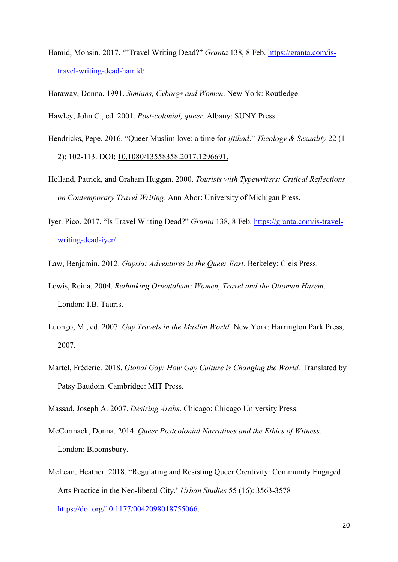- Hamid, Mohsin. 2017. '"Travel Writing Dead?" *Granta* 138, 8 Feb. [https://granta.com/is](https://granta.com/is-travel-writing-dead-hamid/)[travel-writing-dead-hamid/](https://granta.com/is-travel-writing-dead-hamid/)
- Haraway, Donna. 1991. *Simians, Cyborgs and Women*. New York: Routledge.

Hawley, John C., ed. 2001. *Post-colonial, queer*. Albany: SUNY Press.

- Hendricks, Pepe. 2016. "Queer Muslim love: a time for *ijtihad*." *Theology & Sexuality* 22 (1- 2): 102-113. DOI: [10.1080/13558358.2017.1296691.](https://doi.org/10.1080/13558358.2017.1296691)
- Holland, Patrick, and Graham Huggan. 2000. *Tourists with Typewriters: Critical Reflections on Contemporary Travel Writing*. Ann Abor: University of Michigan Press.
- Iyer. Pico. 2017. "Is Travel Writing Dead?" *Granta* 138, 8 Feb. [https://granta.com/is-travel](https://granta.com/is-travel-writing-dead-iyer/)[writing-dead-iyer/](https://granta.com/is-travel-writing-dead-iyer/)
- Law, Benjamin. 2012. *Gaysia: Adventures in the Queer East*. Berkeley: Cleis Press.
- Lewis, Reina. 2004. *Rethinking Orientalism: Women, Travel and the Ottoman Harem*. London: I.B. Tauris.
- Luongo, M., ed. 2007. *Gay Travels in the Muslim World.* New York: Harrington Park Press, 2007.
- Martel, Frédéric. 2018. *Global Gay: How Gay Culture is Changing the World.* Translated by Patsy Baudoin. Cambridge: MIT Press.

Massad, Joseph A. 2007. *Desiring Arabs*. Chicago: Chicago University Press.

- McCormack, Donna. 2014. *Queer Postcolonial Narratives and the Ethics of Witness*. London: Bloomsbury.
- McLean, Heather. 2018. "Regulating and Resisting Queer Creativity: Community Engaged Arts Practice in the Neo-liberal City.' *Urban Studies* 55 (16): 3563-3578 [https://doi.org/10.1177/0042098018755066.](https://doi.org/10.1177/0042098018755066)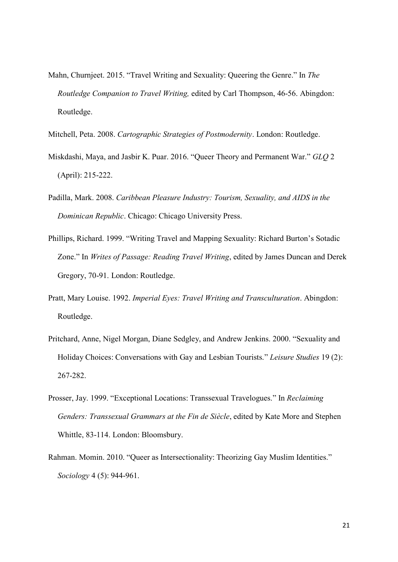Mahn, Churnjeet. 2015. "Travel Writing and Sexuality: Queering the Genre." In *The Routledge Companion to Travel Writing,* edited by Carl Thompson, 46-56. Abingdon: Routledge.

Mitchell, Peta. 2008. *Cartographic Strategies of Postmodernity*. London: Routledge.

- Miskdashi, Maya, and Jasbir K. Puar. 2016. "Queer Theory and Permanent War." *GLQ* 2 (April): 215-222.
- Padilla, Mark. 2008. *Caribbean Pleasure Industry: Tourism, Sexuality, and AIDS in the Dominican Republic*. Chicago: Chicago University Press.
- Phillips, Richard. 1999. "Writing Travel and Mapping Sexuality: Richard Burton's Sotadic Zone." In *Writes of Passage: Reading Travel Writing*, edited by James Duncan and Derek Gregory, 70-91. London: Routledge.
- Pratt, Mary Louise. 1992. *Imperial Eyes: Travel Writing and Transculturation*. Abingdon: Routledge.
- Pritchard, Anne, Nigel Morgan, Diane Sedgley, and Andrew Jenkins. 2000. "Sexuality and Holiday Choices: Conversations with Gay and Lesbian Tourists." *Leisure Studies* 19 (2): 267-282.
- Prosser, Jay. 1999. "Exceptional Locations: Transsexual Travelogues." In *Reclaiming Genders: Transsexual Grammars at the Fin de Siècle*, edited by Kate More and Stephen Whittle, 83-114. London: Bloomsbury.
- Rahman. Momin. 2010. "Queer as Intersectionality: Theorizing Gay Muslim Identities." *Sociology* 4 (5): 944-961.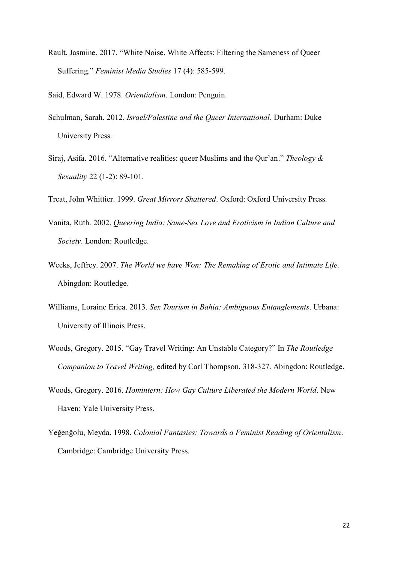Rault, Jasmine. 2017. "White Noise, White Affects: Filtering the Sameness of Queer Suffering." *Feminist Media Studies* 17 (4): 585-599.

Said, Edward W. 1978. *Orientialism*. London: Penguin.

- Schulman, Sarah. 2012. *Israel/Palestine and the Queer International.* Durham: Duke University Press*.*
- Siraj, Asifa. 2016. "Alternative realities: queer Muslims and the Qur'an." *Theology & Sexuality* 22 (1-2): 89-101.

Treat, John Whittier. 1999. *Great Mirrors Shattered*. Oxford: Oxford University Press.

- Vanita, Ruth. 2002. *Queering India: Same-Sex Love and Eroticism in Indian Culture and Society*. London: Routledge.
- Weeks, Jeffrey. 2007. *The World we have Won: The Remaking of Erotic and Intimate Life.*  Abingdon: Routledge.
- Williams, Loraine Erica. 2013. *Sex Tourism in Bahia: Ambiguous Entanglements*. Urbana: University of Illinois Press.
- Woods, Gregory. 2015. "Gay Travel Writing: An Unstable Category?" In *The Routledge Companion to Travel Writing,* edited by Carl Thompson, 318-327. Abingdon: Routledge.
- Woods, Gregory. 2016. *Homintern: How Gay Culture Liberated the Modern World*. New Haven: Yale University Press.
- Yeğenğolu, Meyda. 1998. *Colonial Fantasies: Towards a Feminist Reading of Orientalism*. Cambridge: Cambridge University Press.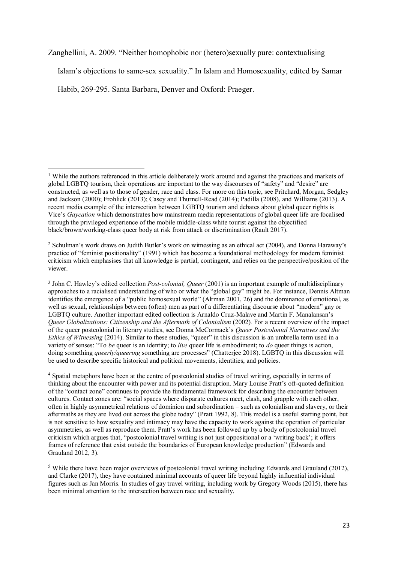[Zanghellini,](http://centaur.reading.ac.uk/view/creators/90003317.html) A. 2009. "Neither homophobic nor (hetero)sexually pure: contextualising

Islam's objections to same-sex sexuality." In Islam and Homosexuality, edited by Samar

Habib, 269-295. Santa Barbara, Denver and Oxford: Praeger.

<sup>&</sup>lt;sup>1</sup> While the authors referenced in this article deliberately work around and against the practices and markets of global LGBTQ tourism, their operations are important to the way discourses of "safety" and "desire" are constructed, as well as to those of gender, race and class. For more on this topic, see Pritchard, Morgan, Sedgley and Jackson (2000); Frohlick (2013); Casey and Thurnell-Read (2014); Padilla (2008), and Williams (2013). A recent media example of the intersection between LGBTQ tourism and debates about global queer rights is Vice's *Gaycation* which demonstrates how mainstream media representations of global queer life are focalised through the privileged experience of the mobile middle-class white tourist against the objectified black/brown/working-class queer body at risk from attack or discrimination (Rault 2017). 1

<sup>2</sup> Schulman's work draws on Judith Butler's work on witnessing as an ethical act (2004), and Donna Haraway's practice of "feminist positionality" (1991) which has become a foundational methodology for modern feminist criticism which emphasises that all knowledge is partial, contingent, and relies on the perspective/position of the viewer.

<sup>3</sup> John C. Hawley's edited collection *Post-colonial, Queer* (2001) is an important example of multidisciplinary approaches to a racialised understanding of who or what the "global gay" might be. For instance, Dennis Altman identifies the emergence of a "public homosexual world" (Altman 2001, 26) and the dominance of emotional, as well as sexual, relationships between (often) men as part of a differentiating discourse about "modern" gay or LGBTQ culture. Another important edited collection is Arnaldo Cruz-Malave and Martin F. Manalansan's *Queer Globalizations: Citizenship and the Aftermath of Colonialism* (2002)*.* For a recent overview of the impact of the queer postcolonial in literary studies, see Donna McCormack's *Queer Postcolonial Narratives and the Ethics of Witnessing* (2014). Similar to these studies, "queer" in this discussion is an umbrella term used in a variety of senses: "To *be* queer is an identity; to *live* queer life is embodiment; to *do* queer things is action, doing something *queerly/queering* something are processes" (Chatterjee 2018). LGBTQ in this discussion will be used to describe specific historical and political movements, identities, and policies.

<sup>4</sup> Spatial metaphors have been at the centre of postcolonial studies of travel writing, especially in terms of thinking about the encounter with power and its potential disruption. Mary Louise Pratt's oft-quoted definition of the "contact zone" continues to provide the fundamental framework for describing the encounter between cultures. Contact zones are: "social spaces where disparate cultures meet, clash, and grapple with each other, often in highly asymmetrical relations of dominion and subordination – such as colonialism and slavery, or their aftermaths as they are lived out across the globe today" (Pratt 1992, 8). This model is a useful starting point, but is not sensitive to how sexuality and intimacy may have the capacity to work against the operation of particular asymmetries, as well as reproduce them. Pratt's work has been followed up by a body of postcolonial travel criticism which argues that, "postcolonial travel writing is not just oppositional or a 'writing back'; it offers frames of reference that exist outside the boundaries of European knowledge production" (Edwards and Grauland 2012, 3).

<sup>5</sup> While there have been major overviews of postcolonial travel writing including Edwards and Grauland (2012), and Clarke (2017), they have contained minimal accounts of queer life beyond highly influential individual figures such as Jan Morris. In studies of gay travel writing, including work by Gregory Woods (2015), there has been minimal attention to the intersection between race and sexuality.